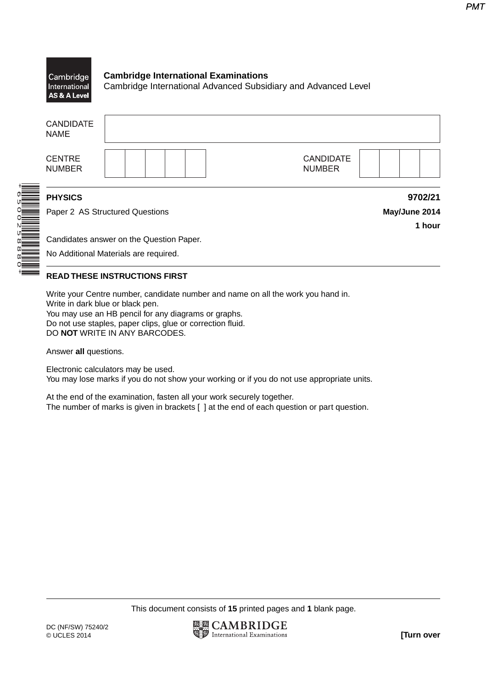

| <b>CANDIDATE</b><br><b>NAME</b>          |                                 |                                    |  |  |
|------------------------------------------|---------------------------------|------------------------------------|--|--|
| <b>CENTRE</b><br><b>NUMBER</b>           |                                 | <b>CANDIDATE</b><br><b>NUMBER</b>  |  |  |
| <b>PHYSICS</b>                           | Paper 2 AS Structured Questions | 9702/21<br>May/June 2014<br>1 hour |  |  |
| Candidates answer on the Question Paper. |                                 |                                    |  |  |

## **READ THESE INSTRUCTIONS FIRST**

Write your Centre number, candidate number and name on all the work you hand in. Write in dark blue or black pen. You may use an HB pencil for any diagrams or graphs. Do not use staples, paper clips, glue or correction fluid. DO **NOT** WRITE IN ANY BARCODES.

Answer **all** questions.

\*6500258880\*

Electronic calculators may be used. You may lose marks if you do not show your working or if you do not use appropriate units.

At the end of the examination, fasten all your work securely together. The number of marks is given in brackets [ ] at the end of each question or part question.

This document consists of **15** printed pages and **1** blank page.

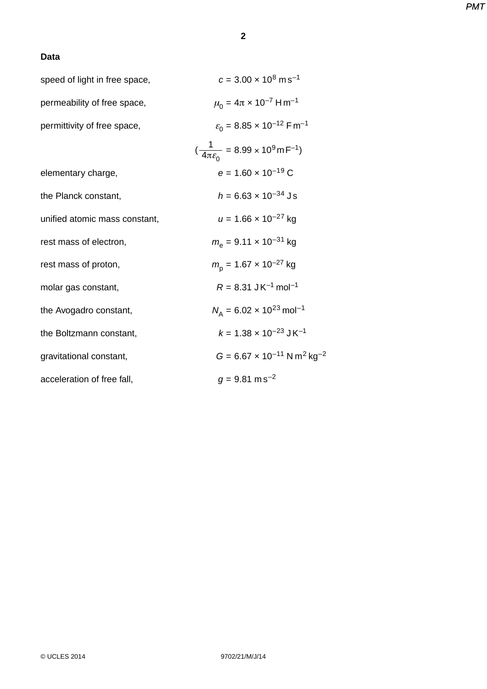#### **Data**

| speed of light in free space, | $c = 3.00 \times 10^8 \text{ m s}^{-1}$                          |  |  |
|-------------------------------|------------------------------------------------------------------|--|--|
| permeability of free space,   | $\mu_0 = 4\pi \times 10^{-7}$ Hm <sup>-1</sup>                   |  |  |
| permittivity of free space,   | $\varepsilon_0$ = 8.85 × 10 <sup>-12</sup> Fm <sup>-1</sup>      |  |  |
|                               | $(\frac{1}{4\pi\epsilon_0} = 8.99 \times 10^9 \text{ m F}^{-1})$ |  |  |
| elementary charge,            | $e = 1.60 \times 10^{-19}$ C                                     |  |  |
| the Planck constant,          | $h = 6.63 \times 10^{-34}$ Js                                    |  |  |
| unified atomic mass constant, | $u = 1.66 \times 10^{-27}$ kg                                    |  |  |
| rest mass of electron,        | $m_e$ = 9.11 $\times$ 10 <sup>-31</sup> kg                       |  |  |
| rest mass of proton,          | $m_{\rm p}$ = 1.67 × 10 <sup>-27</sup> kg                        |  |  |
| molar gas constant,           | $R = 8.31$ JK <sup>-1</sup> mol <sup>-1</sup>                    |  |  |
| the Avogadro constant,        | $N_A = 6.02 \times 10^{23}$ mol <sup>-1</sup>                    |  |  |
| the Boltzmann constant,       | $k = 1.38 \times 10^{-23}$ JK <sup>-1</sup>                      |  |  |
| gravitational constant,       | $G = 6.67 \times 10^{-11}$ N m <sup>2</sup> kg <sup>-2</sup>     |  |  |
| acceleration of free fall,    | $g = 9.81$ ms <sup>-2</sup>                                      |  |  |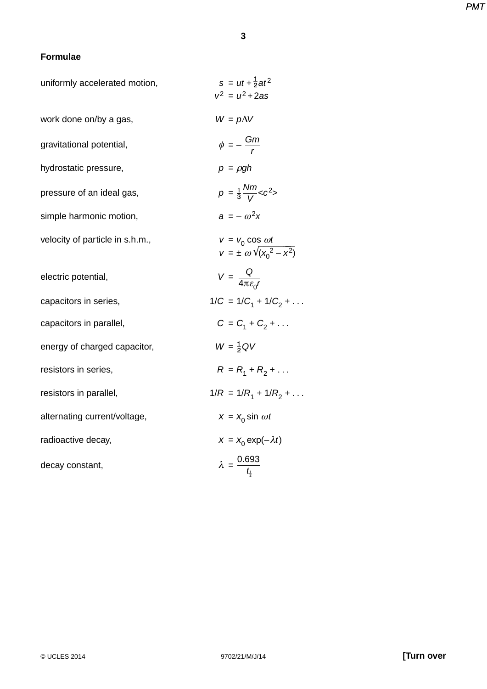## **Formulae**

| uniformly accelerated motion,   | $s = ut + \frac{1}{2}at^2$<br>$v^2 = u^2 + 2as$                  |
|---------------------------------|------------------------------------------------------------------|
| work done on/by a gas,          | $W = p\Delta V$                                                  |
| gravitational potential,        | $\phi = -\frac{Gm}{r}$                                           |
| hydrostatic pressure,           | $p = \rho gh$                                                    |
| pressure of an ideal gas,       | $p = \frac{1}{3} \frac{Nm}{V} < c^2$                             |
| simple harmonic motion,         | $a = -\omega^2 x$                                                |
| velocity of particle in s.h.m., | $v = v_0 \cos \omega t$<br>$v = \pm \omega \sqrt{(x_0^2 - x^2)}$ |
| electric potential,             | $V = \frac{Q}{4\pi \varepsilon_0 r}$                             |
| capacitors in series,           | $1/C = 1/C_1 + 1/C_2 + $                                         |
| capacitors in parallel,         | $C = C_1 + C_2 + $                                               |
| energy of charged capacitor,    | $W = \frac{1}{2} QV$                                             |
| resistors in series,            | $R = R_1 + R_2 + $                                               |
| resistors in parallel,          | $1/R = 1/R_1 + 1/R_2 + \dots$                                    |
| alternating current/voltage,    | $x = x_0 \sin \omega t$                                          |
| radioactive decay,              | $x = x_0 \exp(-\lambda t)$                                       |
| decay constant,                 | $\lambda = \frac{0.693}{t_1}$                                    |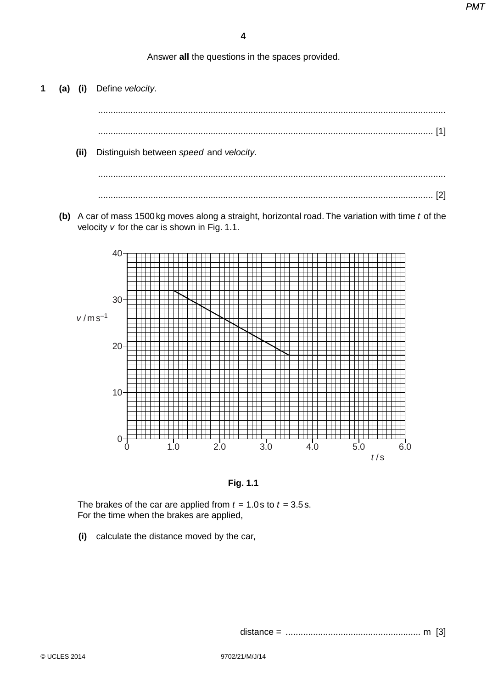Answer **all** the questions in the spaces provided.

- **1 (a) (i)** Define *velocity*. ........................................................................................................................................... ...................................................................................................................................... [1]  **(ii)** Distinguish between *speed* and *velocity*. ........................................................................................................................................... ...................................................................................................................................... [2]
	- **(b)** A car of mass 1500 kg moves along a straight, horizontal road. The variation with time *t* of the velocity *v* for the car is shown in Fig. 1.1.





The brakes of the car are applied from  $t = 1.0$  s to  $t = 3.5$  s. For the time when the brakes are applied,

 **(i)** calculate the distance moved by the car,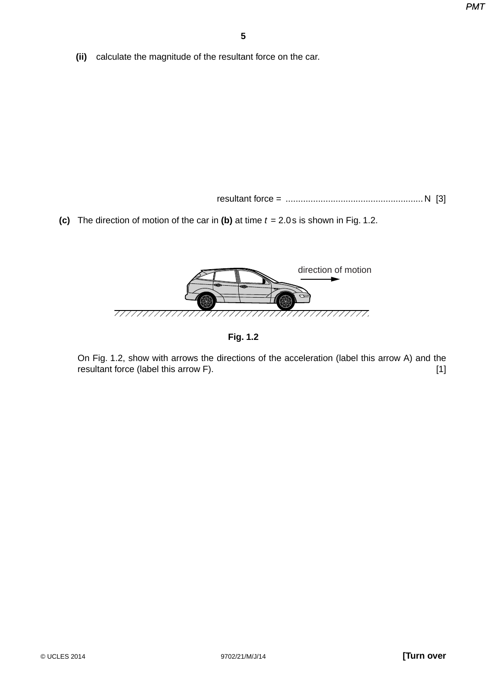**(ii)** calculate the magnitude of the resultant force on the car.

resultant force = ....................................................... N [3]

 **(c)** The direction of motion of the car in **(b)** at time *t* = 2.0 s is shown in Fig. 1.2.



**Fig. 1.2**

On Fig. 1.2, show with arrows the directions of the acceleration (label this arrow A) and the resultant force (label this arrow F). [1]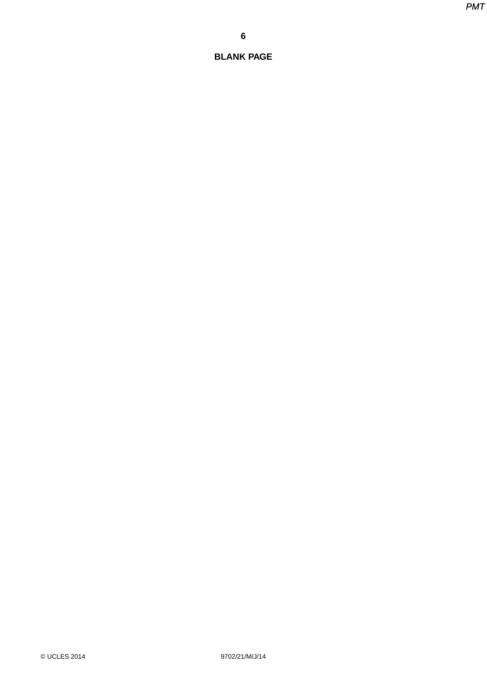# **6**

## **BLANK PAGE**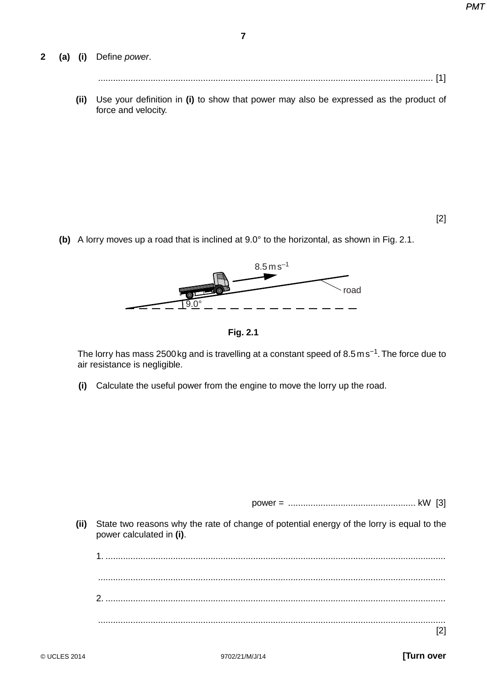# **2 (a) (i)** Define *power*. ...................................................................................................................................... [1]

 **(ii)** Use your definition in **(i)** to show that power may also be expressed as the product of force and velocity.

[2]

 **(b)** A lorry moves up a road that is inclined at 9.0° to the horizontal, as shown in Fig. 2.1.



**Fig. 2.1**

The lorry has mass 2500 kg and is travelling at a constant speed of 8.5 m s−1. The force due to air resistance is negligible.

 **(i)** Calculate the useful power from the engine to move the lorry up the road.

power = ................................................... kW [3]

 **(ii)** State two reasons why the rate of change of potential energy of the lorry is equal to the power calculated in **(i)**.

1. ........................................................................................................................................ ........................................................................................................................................... 2. ........................................................................................................................................ ........................................................................................................................................... [2]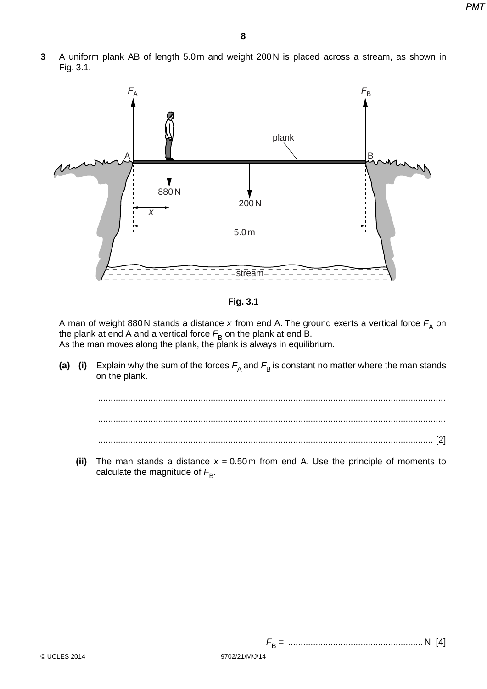**3** A uniform plank AB of length 5.0 m and weight 200 N is placed across a stream, as shown in Fig. 3.1.



**Fig. 3.1**

A man of weight 880N stands a distance x from end A. The ground exerts a vertical force  $F_{\rm A}$  on the plank at end A and a vertical force  $\mathit{F}_\mathsf{B}$  on the plank at end B. As the man moves along the plank, the plank is always in equilibrium.

**(a)** (i) Explain why the sum of the forces  $F_A$  and  $F_B$  is constant no matter where the man stands on the plank.

 ........................................................................................................................................... ........................................................................................................................................... ...................................................................................................................................... [2]

**(ii)** The man stands a distance  $x = 0.50$  m from end A. Use the principle of moments to calculate the magnitude of  $F_{B}$ .

 *F*B = ...................................................... N [4]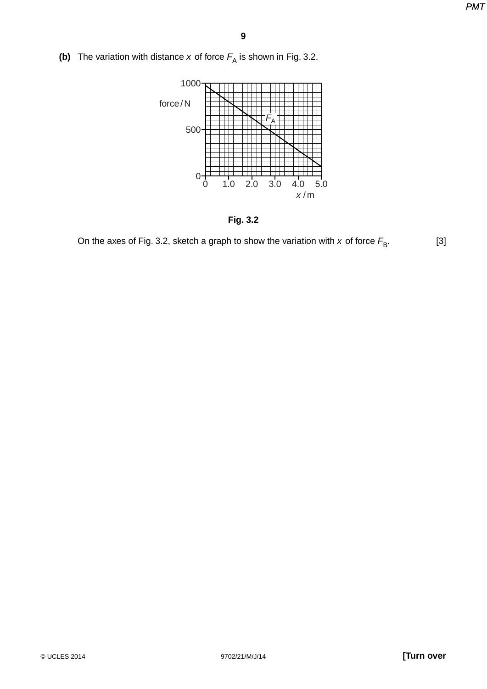**(b)** The variation with distance  $x$  of force  $F_A$  is shown in Fig. 3.2.



**Fig. 3.2**

On the axes of Fig. 3.2, sketch a graph to show the variation with  $x$  of force  $F_{B}$ . [3]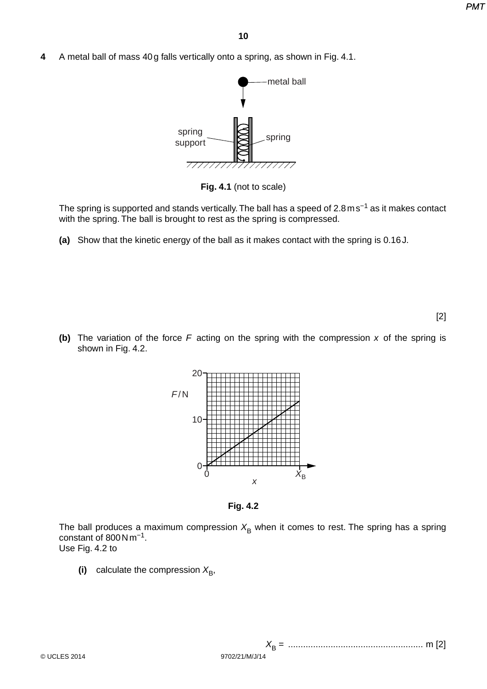**4** A metal ball of mass 40 g falls vertically onto a spring, as shown in Fig. 4.1.



**Fig. 4.1** (not to scale)

The spring is supported and stands vertically. The ball has a speed of 2.8 m s<sup>−1</sup> as it makes contact with the spring. The ball is brought to rest as the spring is compressed.

 **(a)** Show that the kinetic energy of the ball as it makes contact with the spring is 0.16 J.

[2]

 **(b)** The variation of the force *F* acting on the spring with the compression *x* of the spring is shown in Fig. 4.2.



**Fig. 4.2**

The ball produces a maximum compression  $X_B$  when it comes to rest. The spring has a spring constant of 800 N m−1. Use Fig. 4.2 to

- - **(i)** calculate the compression  $X_B$ ,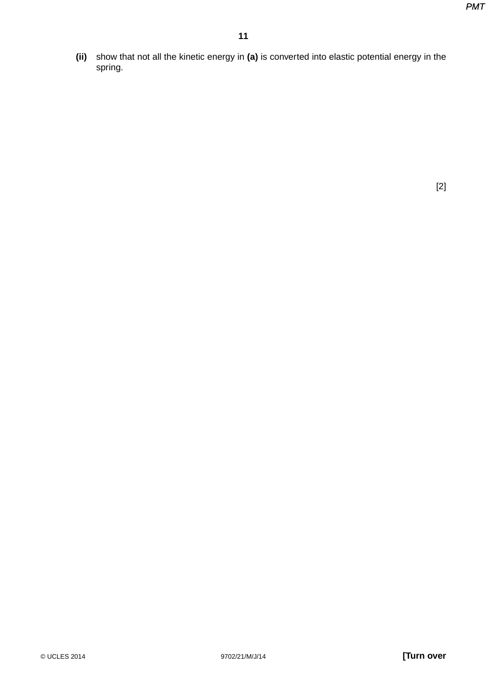**(ii)** show that not all the kinetic energy in **(a)** is converted into elastic potential energy in the spring.

[2]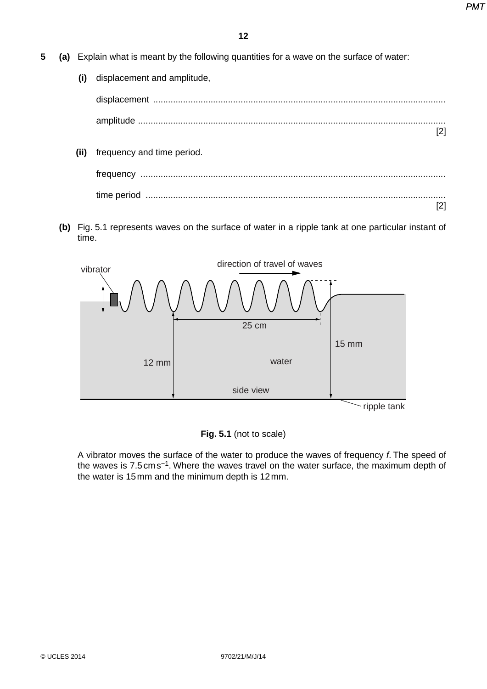- **5 (a)** Explain what is meant by the following quantities for a wave on the surface of water:
	- **(i)** displacement and amplitude, displacement ..................................................................................................................... amplitude ........................................................................................................................... [2]  **(ii)** frequency and time period. frequency .......................................................................................................................... time period ........................................................................................................................ [2]
	- **(b)** Fig. 5.1 represents waves on the surface of water in a ripple tank at one particular instant of time.





A vibrator moves the surface of the water to produce the waves of frequency *f*. The speed of the waves is 7.5 cm s−1. Where the waves travel on the water surface, the maximum depth of the water is 15 mm and the minimum depth is 12 mm.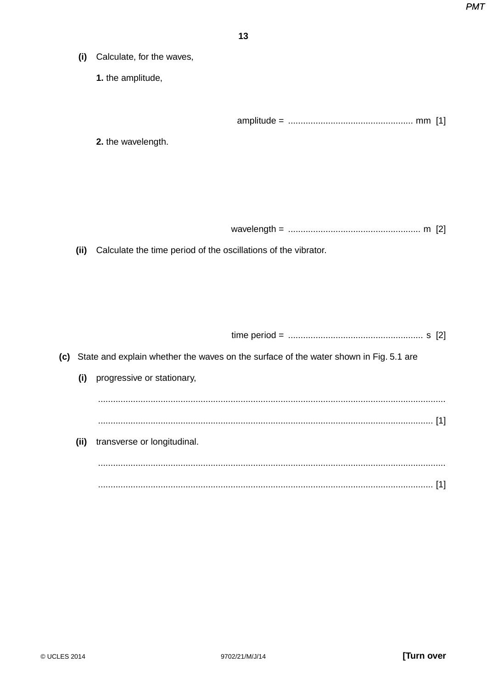**PMT** 

- (i) Calculate, for the waves,
	- 1. the amplitude,

2. the wavelength.

(ii) Calculate the time period of the oscillations of the vibrator.

## (c) State and explain whether the waves on the surface of the water shown in Fig. 5.1 are

(i) progressive or stationary,

(ii) transverse or longitudinal.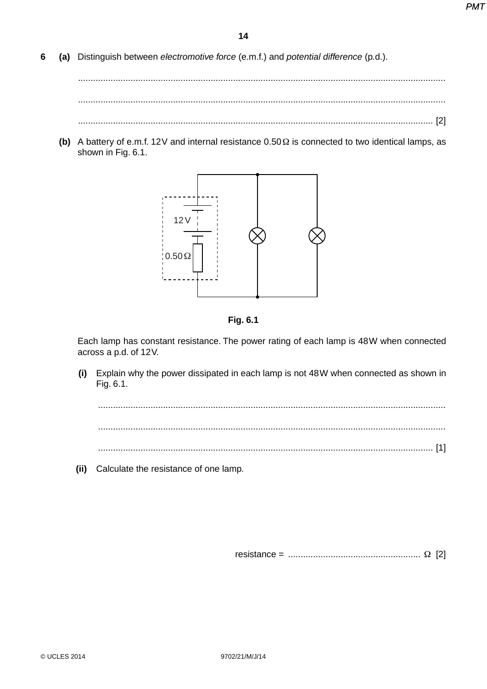**PMT** 

6 (a) Distinguish between electromotive force (e.m.f.) and potential difference (p.d.).

(b) A battery of e.m.f. 12V and internal resistance  $0.50\Omega$  is connected to two identical lamps, as shown in Fig. 6.1.





Each lamp has constant resistance. The power rating of each lamp is 48W when connected across a p.d. of 12V.

Explain why the power dissipated in each lamp is not 48W when connected as shown in  $(i)$ Fig. 6.1.



(ii) Calculate the resistance of one lamp.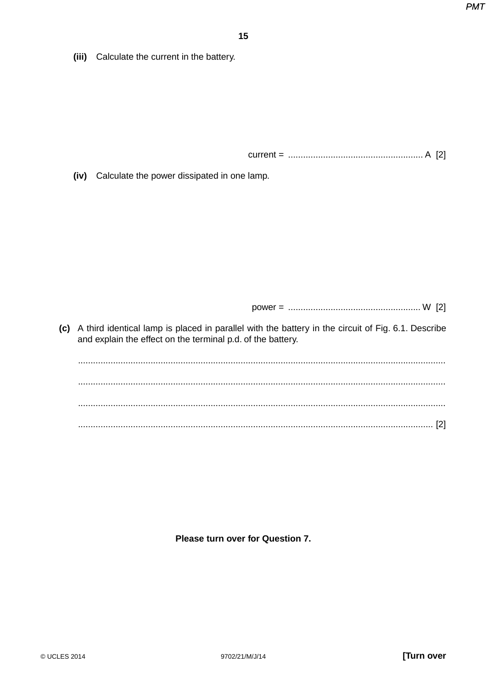(iii) Calculate the current in the battery.

(iv) Calculate the power dissipated in one lamp.

(c) A third identical lamp is placed in parallel with the battery in the circuit of Fig. 6.1. Describe and explain the effect on the terminal p.d. of the battery.

Please turn over for Question 7.